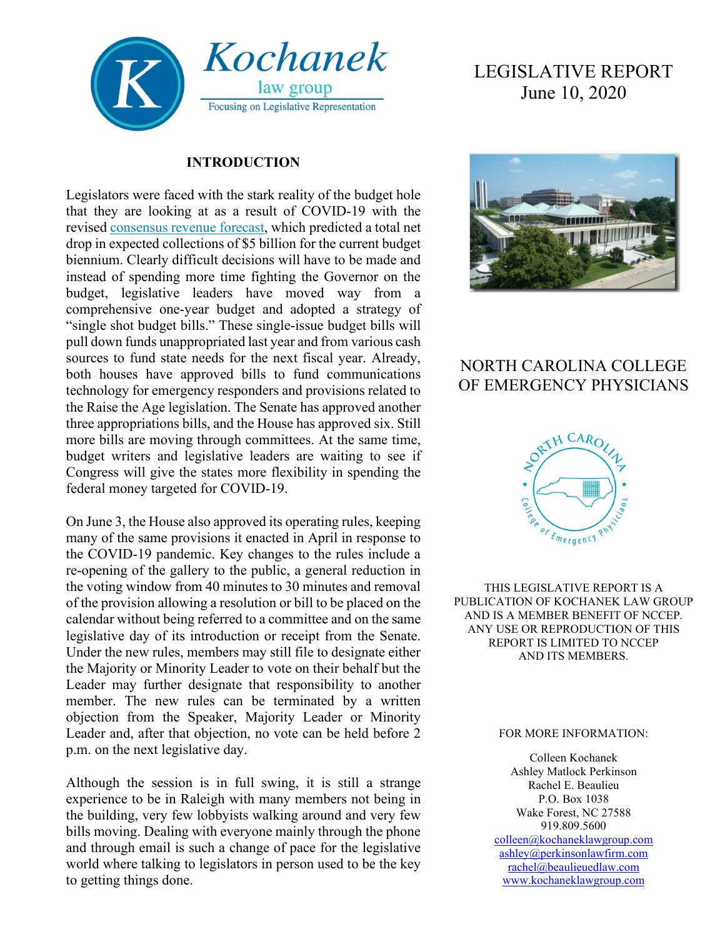

## **INTRODUCTION**

Legislators were faced with the stark reality of the budget hole that they are looking at as a result of COVID-19 with the revised [consensus revenue forecast,](http://speakermoore.com/wp-content/uploads/2020/05/May-2020-Revised-Consensus-Forecast-Report.pdf) which predicted a total net drop in expected collections of \$5 billion for the current budget biennium. Clearly difficult decisions will have to be made and instead of spending more time fighting the Governor on the budget, legislative leaders have moved way from a comprehensive one-year budget and adopted a strategy of "single shot budget bills." These single-issue budget bills will pull down funds unappropriated last year and from various cash sources to fund state needs for the next fiscal year. Already, both houses have approved bills to fund communications technology for emergency responders and provisions related to the Raise the Age legislation. The Senate has approved another three appropriations bills, and the House has approved six. Still more bills are moving through committees. At the same time, budget writers and legislative leaders are waiting to see if Congress will give the states more flexibility in spending the federal money targeted for COVID-19.

On June 3, the House also approved its operating rules, keeping many of the same provisions it enacted in April in response to the COVID-19 pandemic. Key changes to the rules include a re-opening of the gallery to the public, a general reduction in the voting window from 40 minutes to 30 minutes and removal of the provision allowing a resolution or bill to be placed on the calendar without being referred to a committee and on the same legislative day of its introduction or receipt from the Senate. Under the new rules, members may still file to designate either the Majority or Minority Leader to vote on their behalf but the Leader may further designate that responsibility to another member. The new rules can be terminated by a written objection from the Speaker, Majority Leader or Minority Leader and, after that objection, no vote can be held before 2 p.m. on the next legislative day.

Although the session is in full swing, it is still a strange experience to be in Raleigh with many members not being in the building, very few lobbyists walking around and very few bills moving. Dealing with everyone mainly through the phone and through email is such a change of pace for the legislative world where talking to legislators in person used to be the key to getting things done.

# LEGISLATIVE REPORT June 10, 2020



## NORTH CAROLINA COLLEGE OF EMERGENCY PHYSICIANS



THIS LEGISLATIVE REPORT IS A PUBLICATION OF KOCHANEK LAW GROUP AND IS A MEMBER BENEFIT OF NCCEP. ANY USE OR REPRODUCTION OF THIS REPORT IS LIMITED TO NCCEP AND ITS MEMBERS.

#### FOR MORE INFORMATION:

Colleen Kochanek Ashley Matlock Perkinson Rachel E. Beaulieu P.O. Box 1038 Wake Forest, NC 27588 919.809.5600 [colleen@kochaneklawgroup.com](mailto:colleen@kochaneklawgroup.com) [ashley@perkinsonlawfirm.com](mailto:ashley@perkinsonlawfirm.com)

[rachel@beaulieuedlaw.com](mailto:rachel@beaulieuedlaw.com) [www.kochaneklawgroup.com](http://www.kochaneklawgroup.com/)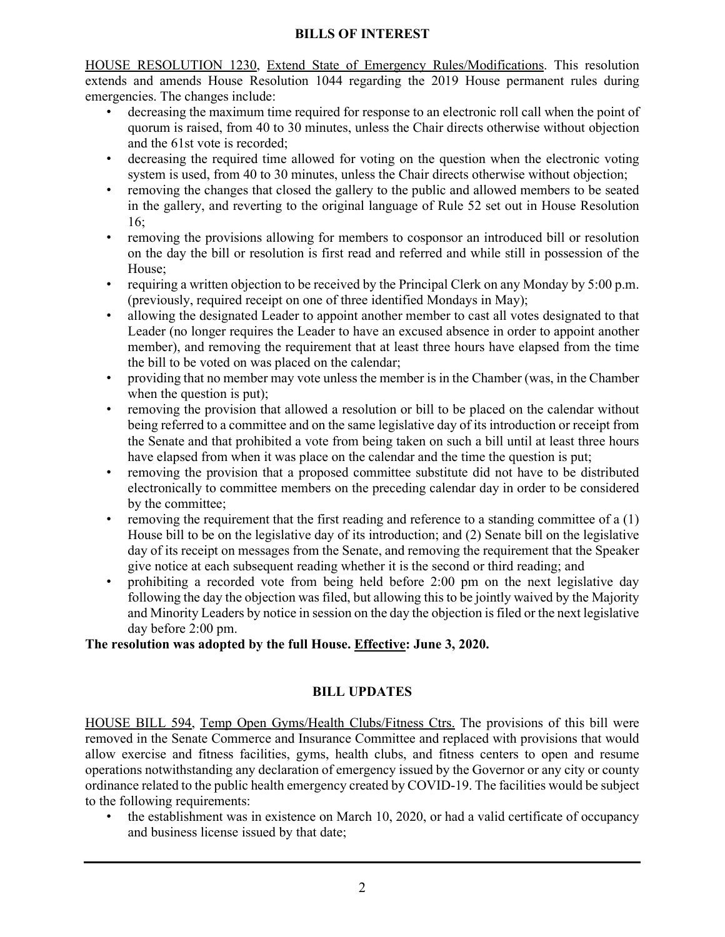### **BILLS OF INTEREST**

HOUSE RESOLUTION 1230, Extend State of Emergency Rules/Modifications. This resolution extends and amends House Resolution 1044 regarding the 2019 House permanent rules during emergencies. The changes include:

- decreasing the maximum time required for response to an electronic roll call when the point of quorum is raised, from 40 to 30 minutes, unless the Chair directs otherwise without objection and the 61st vote is recorded;
- decreasing the required time allowed for voting on the question when the electronic voting system is used, from 40 to 30 minutes, unless the Chair directs otherwise without objection;
- removing the changes that closed the gallery to the public and allowed members to be seated in the gallery, and reverting to the original language of Rule 52 set out in House Resolution 16;
- removing the provisions allowing for members to cosponsor an introduced bill or resolution on the day the bill or resolution is first read and referred and while still in possession of the House;
- requiring a written objection to be received by the Principal Clerk on any Monday by 5:00 p.m. (previously, required receipt on one of three identified Mondays in May);
- allowing the designated Leader to appoint another member to cast all votes designated to that Leader (no longer requires the Leader to have an excused absence in order to appoint another member), and removing the requirement that at least three hours have elapsed from the time the bill to be voted on was placed on the calendar;
- providing that no member may vote unless the member is in the Chamber (was, in the Chamber when the question is put);
- removing the provision that allowed a resolution or bill to be placed on the calendar without being referred to a committee and on the same legislative day of its introduction or receipt from the Senate and that prohibited a vote from being taken on such a bill until at least three hours have elapsed from when it was place on the calendar and the time the question is put;
- removing the provision that a proposed committee substitute did not have to be distributed electronically to committee members on the preceding calendar day in order to be considered by the committee;
- removing the requirement that the first reading and reference to a standing committee of a (1) House bill to be on the legislative day of its introduction; and (2) Senate bill on the legislative day of its receipt on messages from the Senate, and removing the requirement that the Speaker give notice at each subsequent reading whether it is the second or third reading; and
- prohibiting a recorded vote from being held before 2:00 pm on the next legislative day following the day the objection was filed, but allowing this to be jointly waived by the Majority and Minority Leaders by notice in session on the day the objection is filed or the next legislative day before 2:00 pm.

## **The resolution was adopted by the full House. Effective: June 3, 2020.**

## **BILL UPDATES**

HOUSE BILL 594, Temp Open Gyms/Health Clubs/Fitness Ctrs. The provisions of this bill were removed in the Senate Commerce and Insurance Committee and replaced with provisions that would allow exercise and fitness facilities, gyms, health clubs, and fitness centers to open and resume operations notwithstanding any declaration of emergency issued by the Governor or any city or county ordinance related to the public health emergency created by COVID-19. The facilities would be subject to the following requirements:

• the establishment was in existence on March 10, 2020, or had a valid certificate of occupancy and business license issued by that date;